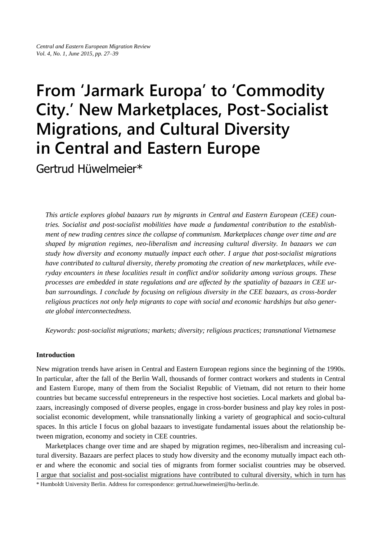# **From 'Jarmark Europa' to 'Commodity City.' New Marketplaces, Post-Socialist Migrations, and Cultural Diversity in Central and Eastern Europe**

Gertrud Hüwelmeier\*

*This article explores global bazaars run by migrants in Central and Eastern European (CEE) countries. Socialist and post-socialist mobilities have made a fundamental contribution to the establishment of new trading centres since the collapse of communism. Marketplaces change over time and are shaped by migration regimes, neo-liberalism and increasing cultural diversity. In bazaars we can study how diversity and economy mutually impact each other. I argue that post-socialist migrations have contributed to cultural diversity, thereby promoting the creation of new marketplaces, while everyday encounters in these localities result in conflict and/or solidarity among various groups. These processes are embedded in state regulations and are affected by the spatiality of bazaars in CEE urban surroundings. I conclude by focusing on religious diversity in the CEE bazaars, as cross-border religious practices not only help migrants to cope with social and economic hardships but also generate global interconnectedness.*

*Keywords: post-socialist migrations; markets; diversity; religious practices; transnational Vietnamese*

## **Introduction**

New migration trends have arisen in Central and Eastern European regions since the beginning of the 1990s. In particular, after the fall of the Berlin Wall, thousands of former contract workers and students in Central and Eastern Europe, many of them from the Socialist Republic of Vietnam, did not return to their home countries but became successful entrepreneurs in the respective host societies. Local markets and global bazaars, increasingly composed of diverse peoples, engage in cross-border business and play key roles in postsocialist economic development, while transnationally linking a variety of geographical and socio-cultural spaces. In this article I focus on global bazaars to investigate fundamental issues about the relationship between migration, economy and society in CEE countries.

Marketplaces change over time and are shaped by migration regimes, neo-liberalism and increasing cultural diversity. Bazaars are perfect places to study how diversity and the economy mutually impact each other and where the economic and social ties of migrants from former socialist countries may be observed. I argue that socialist and post-socialist migrations have contributed to cultural diversity, which in turn has

\* Humboldt University Berlin. Address for correspondence: gertrud.huewelmeier@hu-berlin.de.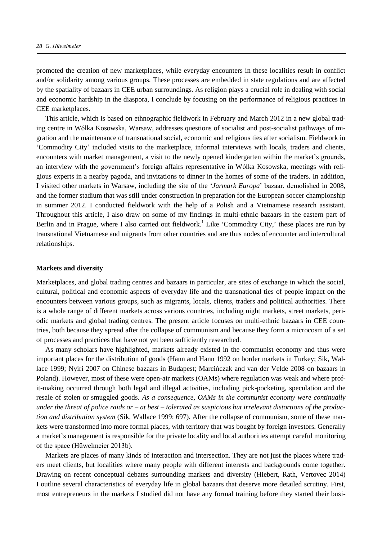promoted the creation of new marketplaces, while everyday encounters in these localities result in conflict and/or solidarity among various groups. These processes are embedded in state regulations and are affected by the spatiality of bazaars in CEE urban surroundings. As religion plays a crucial role in dealing with social and economic hardship in the diaspora, I conclude by focusing on the performance of religious practices in CEE marketplaces.

This article, which is based on ethnographic fieldwork in February and March 2012 in a new global trading centre in Wólka Kosowska, Warsaw, addresses questions of socialist and post-socialist pathways of migration and the maintenance of transnational social, economic and religious ties after socialism. Fieldwork in 'Commodity City' included visits to the marketplace, informal interviews with locals, traders and clients, encounters with market management, a visit to the newly opened kindergarten within the market's grounds, an interview with the government's foreign affairs representative in Wólka Kosowska, meetings with religious experts in a nearby pagoda, and invitations to dinner in the homes of some of the traders. In addition, I visited other markets in Warsaw, including the site of the '*Jarmark Europa*' bazaar, demolished in 2008, and the former stadium that was still under construction in preparation for the European soccer championship in summer 2012. I conducted fieldwork with the help of a Polish and a Vietnamese research assistant. Throughout this article, I also draw on some of my findings in multi-ethnic bazaars in the eastern part of Berlin and in Prague, where I also carried out fieldwork.<sup>1</sup> Like 'Commodity City,' these places are run by transnational Vietnamese and migrants from other countries and are thus nodes of encounter and intercultural relationships.

#### **Markets and diversity**

Marketplaces, and global trading centres and bazaars in particular, are sites of exchange in which the social, cultural, political and economic aspects of everyday life and the transnational ties of people impact on the encounters between various groups, such as migrants, locals, clients, traders and political authorities. There is a whole range of different markets across various countries, including night markets, street markets, periodic markets and global trading centres. The present article focuses on multi-ethnic bazaars in CEE countries, both because they spread after the collapse of communism and because they form a microcosm of a set of processes and practices that have not yet been sufficiently researched.

As many scholars have highlighted, markets already existed in the communist economy and thus were important places for the distribution of goods (Hann and Hann 1992 on border markets in Turkey; Sik, Wallace 1999; Nyiri 2007 on Chinese bazaars in Budapest; Marcińczak and van der Velde 2008 on bazaars in Poland). However, most of these were open-air markets (OAMs) where regulation was weak and where profit-making occurred through both legal and illegal activities, including pick-pocketing, speculation and the resale of stolen or smuggled goods. *As a consequence, OAMs in the communist economy were continually under the threat of police raids or – at best – tolerated as suspicious but irrelevant distortions of the production and distribution system* (Sik, Wallace 1999: 697). After the collapse of communism, some of these markets were transformed into more formal places, with territory that was bought by foreign investors. Generally a market's management is responsible for the private locality and local authorities attempt careful monitoring of the space (Hüwelmeier 2013b).

Markets are places of many kinds of interaction and intersection. They are not just the places where traders meet clients, but localities where many people with different interests and backgrounds come together. Drawing on recent conceptual debates surrounding markets and diversity (Hiebert, Rath, Vertovec 2014) I outline several characteristics of everyday life in global bazaars that deserve more detailed scrutiny. First, most entrepreneurs in the markets I studied did not have any formal training before they started their busi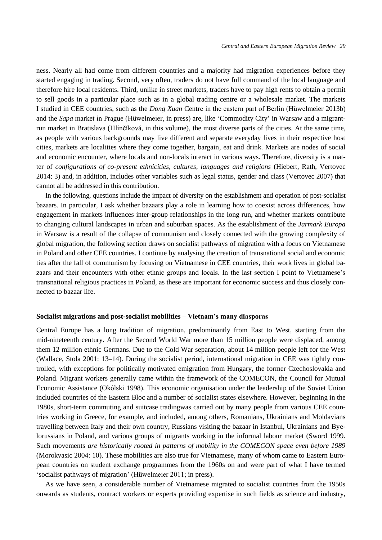ness. Nearly all had come from different countries and a majority had migration experiences before they started engaging in trading. Second, very often, traders do not have full command of the local language and therefore hire local residents. Third, unlike in street markets, traders have to pay high rents to obtain a permit to sell goods in a particular place such as in a global trading centre or a wholesale market. The markets I studied in CEE countries, such as the *Dong Xuan* Centre in the eastern part of Berlin (Hüwelmeier 2013b) and the *Sapa* market in Prague (Hüwelmeier, in press) are, like 'Commodity City' in Warsaw and a migrantrun market in Bratislava (Hlinčíková, in this volume), the most diverse parts of the cities. At the same time, as people with various backgrounds may live different and separate everyday lives in their respective host cities, markets are localities where they come together, bargain, eat and drink. Markets are nodes of social and economic encounter, where locals and non-locals interact in various ways. Therefore, diversity is a matter of *configurations of co-present ethnicities, cultures, languages and religions* (Hiebert, Rath, Vertovec 2014: 3) and, in addition, includes other variables such as legal status, gender and class (Vertovec 2007) that cannot all be addressed in this contribution.

In the following, questions include the impact of diversity on the establishment and operation of post-socialist bazaars. In particular, I ask whether bazaars play a role in learning how to coexist across differences, how engagement in markets influences inter-group relationships in the long run, and whether markets contribute to changing cultural landscapes in urban and suburban spaces. As the establishment of the *Jarmark Europa* in Warsaw is a result of the collapse of communism and closely connected with the growing complexity of global migration, the following section draws on socialist pathways of migration with a focus on Vietnamese in Poland and other CEE countries. I continue by analysing the creation of transnational social and economic ties after the fall of communism by focusing on Vietnamese in CEE countries, their work lives in global bazaars and their encounters with other ethnic groups and locals. In the last section I point to Vietnamese's transnational religious practices in Poland, as these are important for economic success and thus closely connected to bazaar life.

#### **Socialist migrations and post-socialist mobilities – Vietnam's many diasporas**

Central Europe has a long tradition of migration, predominantly from East to West, starting from the mid-nineteenth century. After the Second World War more than 15 million people were displaced, among them 12 million ethnic Germans. Due to the Cold War separation, about 14 million people left for the West (Wallace, Stola 2001: 13–14). During the socialist period, international migration in CEE was tightly controlled, with exceptions for politically motivated emigration from Hungary, the former Czechoslovakia and Poland. Migrant workers generally came within the framework of the COMECON, the Council for Mutual Economic Assistance (Okólski 1998). This economic organisation under the leadership of the Soviet Union included countries of the Eastern Bloc and a number of socialist states elsewhere. However, beginning in the 1980s, short-term commuting and suitcase tradingwas carried out by many people from various CEE countries working in Greece, for example, and included, among others, Romanians, Ukrainians and Moldavians travelling between Italy and their own country, Russians visiting the bazaar in Istanbul, Ukrainians and Byelorussians in Poland, and various groups of migrants working in the informal labour market (Sword 1999. Such movements *are historically rooted in patterns of mobility in the COMECON space even before 1989* (Morokvasic 2004: 10). These mobilities are also true for Vietnamese, many of whom came to Eastern European countries on student exchange programmes from the 1960s on and were part of what I have termed 'socialist pathways of migration' (Hüwelmeier 2011; in press).

As we have seen, a considerable number of Vietnamese migrated to socialist countries from the 1950s onwards as students, contract workers or experts providing expertise in such fields as science and industry,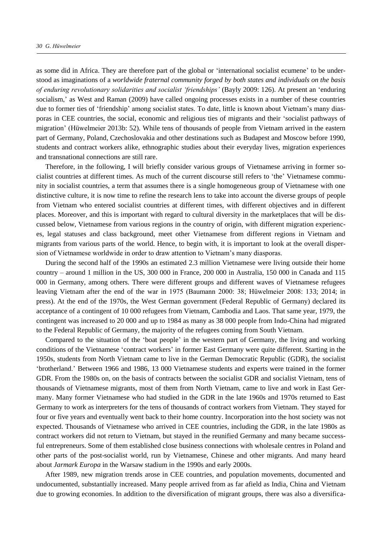as some did in Africa. They are therefore part of the global or 'international socialist ecumene' to be understood as imaginations of a *worldwide fraternal community forged by both states and individuals on the basis of enduring revolutionary solidarities and socialist 'friendships'* (Bayly 2009: 126). At present an 'enduring socialism,' as West and Raman (2009) have called ongoing processes exists in a number of these countries due to former ties of 'friendship' among socialist states. To date, little is known about Vietnam's many diasporas in CEE countries, the social, economic and religious ties of migrants and their 'socialist pathways of migration' (Hüwelmeier 2013b: 52)*.* While tens of thousands of people from Vietnam arrived in the eastern part of Germany, Poland, Czechoslovakia and other destinations such as Budapest and Moscow before 1990, students and contract workers alike, ethnographic studies about their everyday lives, migration experiences and transnational connections are still rare.

Therefore, in the following, I will briefly consider various groups of Vietnamese arriving in former socialist countries at different times. As much of the current discourse still refers to 'the' Vietnamese community in socialist countries, a term that assumes there is a single homogeneous group of Vietnamese with one distinctive culture, it is now time to refine the research lens to take into account the diverse groups of people from Vietnam who entered socialist countries at different times, with different objectives and in different places. Moreover, and this is important with regard to cultural diversity in the marketplaces that will be discussed below, Vietnamese from various regions in the country of origin, with different migration experiences, legal statuses and class background, meet other Vietnamese from different regions in Vietnam and migrants from various parts of the world. Hence, to begin with, it is important to look at the overall dispersion of Vietnamese worldwide in order to draw attention to Vietnam's many diasporas.

During the second half of the 1990s an estimated 2.3 million Vietnamese were living outside their home country – around 1 million in the US, 300 000 in France, 200 000 in Australia, 150 000 in Canada and 115 000 in Germany, among others. There were different groups and different waves of Vietnamese refugees leaving Vietnam after the end of the war in 1975 (Baumann 2000: 38; Hüwelmeier 2008: 133; 2014; in press). At the end of the 1970s, the West German government (Federal Republic of Germany) declared its acceptance of a contingent of 10 000 refugees from Vietnam, Cambodia and Laos. That same year, 1979, the contingent was increased to 20 000 and up to 1984 as many as 38 000 people from Indo-China had migrated to the Federal Republic of Germany, the majority of the refugees coming from South Vietnam.

Compared to the situation of the 'boat people' in the western part of Germany, the living and working conditions of the Vietnamese 'contract workers' in former East Germany were quite different. Starting in the 1950s, students from North Vietnam came to live in the German Democratic Republic (GDR), the socialist 'brotherland.' Between 1966 and 1986, 13 000 Vietnamese students and experts were trained in the former GDR. From the 1980s on, on the basis of contracts between the socialist GDR and socialist Vietnam, tens of thousands of Vietnamese migrants, most of them from North Vietnam, came to live and work in East Germany. Many former Vietnamese who had studied in the GDR in the late 1960s and 1970s returned to East Germany to work as interpreters for the tens of thousands of contract workers from Vietnam. They stayed for four or five years and eventually went back to their home country. Incorporation into the host society was not expected. Thousands of Vietnamese who arrived in CEE countries, including the GDR, in the late 1980s as contract workers did not return to Vietnam, but stayed in the reunified Germany and many became successful entrepreneurs. Some of them established close business connections with wholesale centres in Poland and other parts of the post-socialist world, run by Vietnamese, Chinese and other migrants. And many heard about *Jarmark Europa* in the Warsaw stadium in the 1990s and early 2000s.

After 1989, new migration trends arose in CEE countries, and population movements, documented and undocumented, substantially increased. Many people arrived from as far afield as India, China and Vietnam due to growing economies. In addition to the diversification of migrant groups, there was also a diversifica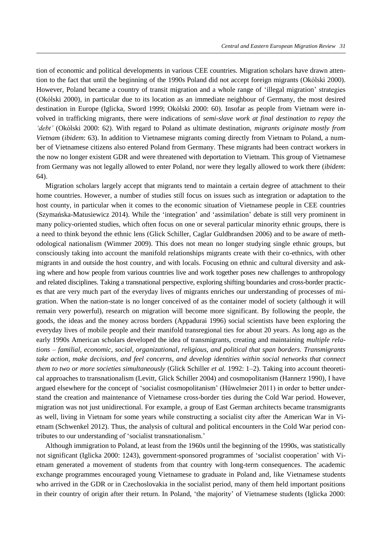tion of economic and political developments in various CEE countries. Migration scholars have drawn attention to the fact that until the beginning of the 1990s Poland did not accept foreign migrants (Okólski 2000). However, Poland became a country of transit migration and a whole range of 'illegal migration' strategies (Okólski 2000), in particular due to its location as an immediate neighbour of Germany, the most desired destination in Europe (Iglicka, Sword 1999; Okólski 2000: 60). Insofar as people from Vietnam were involved in trafficking migrants, there were indications of *semi-slave work at final destination to repay the 'debt'* (Okólski 2000: 62). With regard to Poland as ultimate destination, *migrants originate mostly from Vietnam* (*ibidem*: 63). In addition to Vietnamese migrants coming directly from Vietnam to Poland, a number of Vietnamese citizens also entered Poland from Germany. These migrants had been contract workers in the now no longer existent GDR and were threatened with deportation to Vietnam. This group of Vietnamese from Germany was not legally allowed to enter Poland, nor were they legally allowed to work there (*ibidem*: 64).

Migration scholars largely accept that migrants tend to maintain a certain degree of attachment to their home countries. However, a number of studies still focus on issues such as integration or adaptation to the host county, in particular when it comes to the economic situation of Vietnamese people in CEE countries (Szymańska-Matusiewicz 2014). While the 'integration' and 'assimilation' debate is still very prominent in many policy-oriented studies, which often focus on one or several particular minority ethnic groups, there is a need to think beyond the ethnic lens (Glick Schiller, Caglar Guldbrandsen 2006) and to be aware of methodological nationalism (Wimmer 2009). This does not mean no longer studying single ethnic groups, but consciously taking into account the manifold relationships migrants create with their co-ethnics, with other migrants in and outside the host country, and with locals. Focusing on ethnic and cultural diversity and asking where and how people from various countries live and work together poses new challenges to anthropology and related disciplines. Taking a transnational perspective, exploring shifting boundaries and cross-border practices that are very much part of the everyday lives of migrants enriches our understanding of processes of migration. When the nation-state is no longer conceived of as the container model of society (although it will remain very powerful), research on migration will become more significant. By following the people, the goods, the ideas and the money across borders (Appadurai 1996) social scientists have been exploring the everyday lives of mobile people and their manifold transregional ties for about 20 years. As long ago as the early 1990s American scholars developed the idea of transmigrants, creating and maintaining *multiple relations – familial, economic, social, organizational, religious, and political that span borders. Transmigrants take action, make decisions, and feel concerns, and develop identities within social networks that connect them to two or more societies simultaneously* (Glick Schiller *et al.* 1992: 1–2). Taking into account theoretical approaches to transnationalism (Levitt, Glick Schiller 2004) and cosmopolitanism (Hannerz 1990), I have argued elsewhere for the concept of 'socialist cosmopolitanism' (Hüwelmeier 2011) in order to better understand the creation and maintenance of Vietnamese cross-border ties during the Cold War period. However, migration was not just unidirectional. For example, a group of East German architects became transmigrants as well, living in Vietnam for some years while constructing a socialist city after the American War in Vietnam (Schwenkel 2012). Thus, the analysis of cultural and political encounters in the Cold War period contributes to our understanding of 'socialist transnationalism.'

Although immigration to Poland, at least from the 1960s until the beginning of the 1990s, was statistically not significant (Iglicka 2000: 1243), government-sponsored programmes of 'socialist cooperation' with Vietnam generated a movement of students from that country with long-term consequences. The academic exchange programmes encouraged young Vietnamese to graduate in Poland and, like Vietnamese students who arrived in the GDR or in Czechoslovakia in the socialist period, many of them held important positions in their country of origin after their return. In Poland, 'the majority' of Vietnamese students (Iglicka 2000: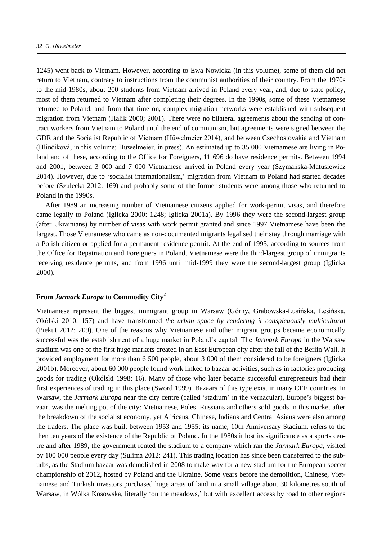1245) went back to Vietnam. However, according to Ewa Nowicka (in this volume), some of them did not return to Vietnam, contrary to instructions from the communist authorities of their country. From the 1970s to the mid-1980s, about 200 students from Vietnam arrived in Poland every year, and, due to state policy, most of them returned to Vietnam after completing their degrees. In the 1990s, some of these Vietnamese returned to Poland, and from that time on, complex migration networks were established with subsequent migration from Vietnam (Halik 2000; 2001). There were no bilateral agreements about the sending of contract workers from Vietnam to Poland until the end of communism, but agreements were signed between the GDR and the Socialist Republic of Vietnam (Hüwelmeier 2014), and between Czechoslovakia and Vietnam (Hlinčíková, in this volume; Hüwelmeier, in press). An estimated up to 35 000 Vietnamese are living in Poland and of these, according to the Office for Foreigners, 11 696 do have residence permits. Between 1994 and 2001, between 3 000 and 7 000 Vietnamese arrived in Poland every year (Szymańska-Matusiewicz 2014). However, due to 'socialist internationalism,' migration from Vietnam to Poland had started decades before (Szulecka 2012: 169) and probably some of the former students were among those who returned to Poland in the 1990s.

After 1989 an increasing number of Vietnamese citizens applied for work-permit visas, and therefore came legally to Poland (Iglicka 2000: 1248; Iglicka 2001a). By 1996 they were the second-largest group (after Ukrainians) by number of visas with work permit granted and since 1997 Vietnamese have been the largest. Those Vietnamese who came as non-documented migrants legalised their stay through marriage with a Polish citizen or applied for a permanent residence permit. At the end of 1995, according to sources from the Office for Repatriation and Foreigners in Poland, Vietnamese were the third-largest group of immigrants receiving residence permits, and from 1996 until mid-1999 they were the second-largest group (Iglicka 2000).

# **From** *Jarmark Europa* **to Commodity City<sup>2</sup>**

Vietnamese represent the biggest immigrant group in Warsaw (Górny, Grabowska-Lusińska, Lesińska, Okólski 2010: 157) and have transformed *the urban space by rendering it conspicuously multicultural* (Piekut 2012: 209). One of the reasons why Vietnamese and other migrant groups became economically successful was the establishment of a huge market in Poland's capital. The *Jarmark Europa* in the Warsaw stadium was one of the first huge markets created in an East European city after the fall of the Berlin Wall. It provided employment for more than 6 500 people, about 3 000 of them considered to be foreigners (Iglicka 2001b). Moreover, about 60 000 people found work linked to bazaar activities, such as in factories producing goods for trading (Okólski 1998: 16). Many of those who later became successful entrepreneurs had their first experiences of trading in this place (Sword 1999). Bazaars of this type exist in many CEE countries. In Warsaw, the *Jarmark Europa* near the city centre (called 'stadium' in the vernacular), Europe's biggest bazaar, was the melting pot of the city: Vietnamese, Poles, Russians and others sold goods in this market after the breakdown of the socialist economy, yet Africans, Chinese, Indians and Central Asians were also among the traders. The place was built between 1953 and 1955; its name, 10th Anniversary Stadium, refers to the then ten years of the existence of the Republic of Poland. In the 1980s it lost its significance as a sports centre and after 1989, the government rented the stadium to a company which ran the *Jarmark Europa*, visited by 100 000 people every day (Sulima 2012: 241). This trading location has since been transferred to the suburbs, as the Stadium bazaar was demolished in 2008 to make way for a new stadium for the European soccer championship of 2012, hosted by Poland and the Ukraine. Some years before the demolition, Chinese, Vietnamese and Turkish investors purchased huge areas of land in a small village about 30 kilometres south of Warsaw, in Wólka Kosowska, literally 'on the meadows,' but with excellent access by road to other regions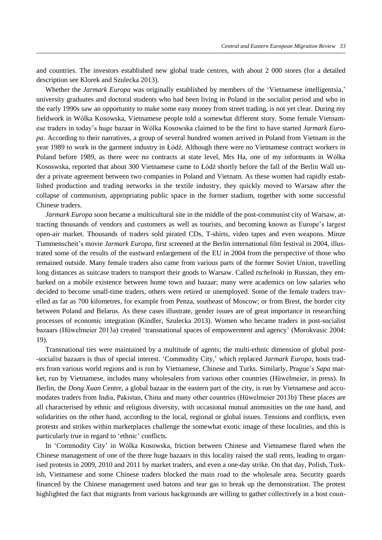and countries. The investors established new global trade centres, with about 2 000 stores (for a detailed description see Klorek and Szulecka 2013).

Whether the *Jarmark Europa* was originally established by members of the 'Vietnamese intelligentsia,' university graduates and doctoral students who had been living in Poland in the socialist period and who in the early 1990s saw an opportunity to make some easy money from street trading, is not yet clear. During my fieldwork in Wólka Kosowska, Vietnamese people told a somewhat different story. Some female Vietnamese traders in today's huge bazaar in Wólka Kosowska claimed to be the first to have started *Jarmark Europa*. According to their narratives, a group of several hundred women arrived in Poland from Vietnam in the year 1989 to work in the garment industry in Łódź. Although there were no Vietnamese contract workers in Poland before 1989, as there were no contracts at state level, Mrs Ha, one of my informants in Wólka Kososwska, reported that about 300 Vietnamese came to Łódź shortly before the fall of the Berlin Wall under a private agreement between two companies in Poland and Vietnam. As these women had rapidly established production and trading networks in the textile industry, they quickly moved to Warsaw after the collapse of communism, appropriating public space in the former stadium, together with some successful Chinese traders.

*Jarmark Europa* soon became a multicultural site in the middle of the post-communist city of Warsaw, attracting thousands of vendors and customers as well as tourists, and becoming known as Europe's largest open-air market. Thousands of traders sold pirated CDs, T-shirts, video tapes and even weapons. Minze Tummenscheit's movie *Jarmark Europa*, first screened at the Berlin international film festival in 2004, illustrated some of the results of the eastward enlargement of the EU in 2004 from the perspective of those who remained outside. Many female traders also came from various parts of the former Soviet Union, travelling long distances as suitcase traders to transport their goods to Warsaw. Called *tschelnoki* in Russian, they embarked on a mobile existence between home town and bazaar; many were academics on low salaries who decided to become small-time traders, others were retired or unemployed. Some of the female traders travelled as far as 700 kilometres, for example from Penza, southeast of Moscow; or from Brest, the border city between Poland and Belarus. As these cases illustrate, gender issues are of great importance in researching processes of economic integration (Kindler, Szulecka 2013). Women who became traders in post-socialist bazaars (Hüwelmeier 2013a) created 'transnational spaces of empowerment and agency' (Morokvasic 2004: 19).

Transnational ties were maintained by a multitude of agents; the multi-ethnic dimension of global post- -socialist bazaars is thus of special interest. 'Commodity City,' which replaced *Jarmark Europa*, hosts traders from various world regions and is run by Vietnamese, Chinese and Turks. Similarly, Prague's *Sapa* market, run by Vietnamese, includes many wholesalers from various other countries (Hüwelmeier, in press). In Berlin, the *Dong Xuan* Centre, a global bazaar in the eastern part of the city, is run by Vietnamese and accomodates traders from ndia, Pakistan, China and many other countries (Hüwelmeier 2013b) These places are all characterised by ethnic and religious diversity, with occasional mutual animosities on the one hand, and solidarities on the other hand, according to the local, regional or global issues. Tensions and conflicts, even protests and strikes within marketplaces challenge the somewhat exotic image of these localities, and this is particularly true in regard to 'ethnic' conflicts.

In 'Commodity City' in Wólka Kosowska, friction between Chinese and Vietnamese flared when the Chinese management of one of the three huge bazaars in this locality raised the stall rents, leading to organised protests in 2009, 2010 and 2011 by market traders, and even a one-day strike. On that day, Polish, Turkish, Vietnamese and some Chinese traders blocked the main road to the wholesale area. Security guards financed by the Chinese management used batons and tear gas to break up the demonstration. The protest highlighted the fact that migrants from various backgrounds are willing to gather collectively in a host coun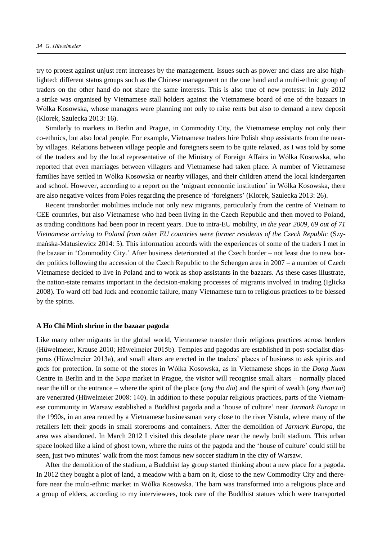try to protest against unjust rent increases by the management. Issues such as power and class are also highlighted: different status groups such as the Chinese management on the one hand and a multi-ethnic group of traders on the other hand do not share the same interests. This is also true of new protests: in July 2012 a strike was organised by Vietnamese stall holders against the Vietnamese board of one of the bazaars in Wólka Kosowska, whose managers were planning not only to raise rents but also to demand a new deposit (Klorek, Szulecka 2013: 16).

Similarly to markets in Berlin and Prague, in Commodity City, the Vietnamese employ not only their co-ethnics, but also local people. For example, Vietnamese traders hire Polish shop assistants from the nearby villages. Relations between village people and foreigners seem to be quite relaxed, as I was told by some of the traders and by the local representative of the Ministry of Foreign Affairs in Wólka Kosowska, who reported that even marriages between villagers and Vietnamese had taken place. A number of Vietnamese families have settled in Wólka Kosowska or nearby villages, and their children attend the local kindergarten and school. However, according to a report on the 'migrant economic institution' in Wólka Kosowska, there are also negative voices from Poles regarding the presence of 'foreigners' (Klorek, Szulecka 2013: 26).

Recent transborder mobilities include not only new migrants, particularly from the centre of Vietnam to CEE countries, but also Vietnamese who had been living in the Czech Republic and then moved to Poland, as trading conditions had been poor in recent years. Due to intra-EU mobility, *in the year 2009, 69 out of 71 Vietnamese arriving to Poland from other EU countries were former residents of the Czech Republic* (Szymańska-Matusiewicz 2014: 5). This information accords with the experiences of some of the traders I met in the bazaar in 'Commodity City.' After business deteriorated at the Czech border – not least due to new border politics following the accession of the Czech Republic to the Schengen area in 2007 – a number of Czech Vietnamese decided to live in Poland and to work as shop assistants in the bazaars. As these cases illustrate, the nation-state remains important in the decision-making processes of migrants involved in trading (Iglicka 2008). To ward off bad luck and economic failure, many Vietnamese turn to religious practices to be blessed by the spirits.

#### **A Ho Chi Minh shrine in the bazaar pagoda**

Like many other migrants in the global world, Vietnamese transfer their religious practices across borders (Hüwelmeier, Krause 2010; Hüwelmeier 2015b). Temples and pagodas are established in post-socialist diasporas (Hüwelmeier 2013a), and small altars are erected in the traders' places of business to ask spirits and gods for protection. In some of the stores in Wólka Kosowska, as in Vietnamese shops in the *Dong Xuan* Centre in Berlin and in the *Sapa* market in Prague, the visitor will recognise small altars – normally placed near the till or the entrance – where the spirit of the place (*ong tho dia*) and the spirit of wealth (*ong than tai*) are venerated (Hüwelmeier 2008: 140). n addition to these popular religious practices, parts of the Vietnamese community in Warsaw established a Buddhist pagoda and a 'house of culture' near *Jarmark Europa* in the 1990s, in an area rented by a Vietnamese businessman very close to the river Vistula, where many of the retailers left their goods in small storerooms and containers. After the demolition of *Jarmark Europa*, the area was abandoned. In March 2012 I visited this desolate place near the newly built stadium. This urban space looked like a kind of ghost town, where the ruins of the pagoda and the 'house of culture' could still be seen, just two minutes' walk from the most famous new soccer stadium in the city of Warsaw.

After the demolition of the stadium, a Buddhist lay group started thinking about a new place for a pagoda. In 2012 they bought a plot of land, a meadow with a barn on it, close to the new Commodity City and therefore near the multi-ethnic market in Wólka Kosowska. The barn was transformed into a religious place and a group of elders, according to my interviewees, took care of the Buddhist statues which were transported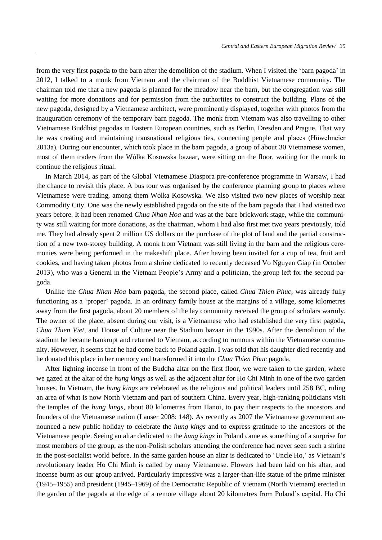from the very first pagoda to the barn after the demolition of the stadium. When I visited the 'barn pagoda' in 2012, I talked to a monk from Vietnam and the chairman of the Buddhist Vietnamese community. The chairman told me that a new pagoda is planned for the meadow near the barn, but the congregation was still waiting for more donations and for permission from the authorities to construct the building. Plans of the new pagoda, designed by a Vietnamese architect, were prominently displayed, together with photos from the inauguration ceremony of the temporary barn pagoda. The monk from Vietnam was also travelling to other Vietnamese Buddhist pagodas in Eastern European countries, such as Berlin, Dresden and Prague. That way he was creating and maintaining transnational religious ties, connecting people and places (Hüwelmeier 2013a). During our encounter, which took place in the barn pagoda, a group of about 30 Vietnamese women, most of them traders from the Wólka Kosowska bazaar, were sitting on the floor, waiting for the monk to continue the religious ritual.

In March 2014, as part of the Global Vietnamese Diaspora pre-conference programme in Warsaw, I had the chance to revisit this place. A bus tour was organised by the conference planning group to places where Vietnamese were trading, among them Wólka Kosowska. We also visited two new places of worship near Commodity City. One was the newly established pagoda on the site of the barn pagoda that I had visited two years before. It had been renamed *Chua Nhan Hoa* and was at the bare brickwork stage, while the community was still waiting for more donations, as the chairman, whom I had also first met two years previously, told me. They had already spent 2 million US dollars on the purchase of the plot of land and the partial construction of a new two-storey building. A monk from Vietnam was still living in the barn and the religious ceremonies were being performed in the makeshift place. After having been invited for a cup of tea, fruit and cookies, and having taken photos from a shrine dedicated to recently deceased Vo Nguyen Giap (in October 2013), who was a General in the Vietnam People's Army and a politician, the group left for the second pagoda.

Unlike the *Chua Nhan Hoa* barn pagoda, the second place, called *Chua Thien Phuc*, was already fully functioning as a 'proper' pagoda. In an ordinary family house at the margins of a village, some kilometres away from the first pagoda, about 20 members of the lay community received the group of scholars warmly. The owner of the place, absent during our visit, is a Vietnamese who had established the very first pagoda, *Chua Thien Viet*, and House of Culture near the Stadium bazaar in the 1990s. After the demolition of the stadium he became bankrupt and returned to Vietnam, according to rumours within the Vietnamese community. However, it seems that he had come back to Poland again. I was told that his daughter died recently and he donated this place in her memory and transformed it into the *Chua Thien Phuc* pagoda.

After lighting incense in front of the Buddha altar on the first floor, we were taken to the garden, where we gazed at the altar of the *hung kings* as well as the adjacent altar for Ho Chi Minh in one of the two garden houses. In Vietnam, the *hung kings* are celebrated as the religious and political leaders until 258 BC, ruling an area of what is now North Vietnam and part of southern China. Every year, high-ranking politicians visit the temples of the *hung kings*, about 80 kilometres from Hanoi, to pay their respects to the ancestors and founders of the Vietnamese nation (Lauser 2008: 148). As recently as 2007 the Vietnamese government announced a new public holiday to celebrate the *hung kings* and to express gratitude to the ancestors of the Vietnamese people. Seeing an altar dedicated to the *hung kings* in Poland came as something of a surprise for most members of the group, as the non-Polish scholars attending the conference had never seen such a shrine in the post-socialist world before. In the same garden house an altar is dedicated to 'Uncle Ho,' as Vietnam's revolutionary leader Ho Chi Minh is called by many Vietnamese. Flowers had been laid on his altar, and incense burnt as our group arrived. Particularly impressive was a larger-than-life statue of the prime minister (1945–1955) and president (1945–1969) of the Democratic Republic of Vietnam (North Vietnam) erected in the garden of the pagoda at the edge of a remote village about 20 kilometres from Poland's capital. Ho Chi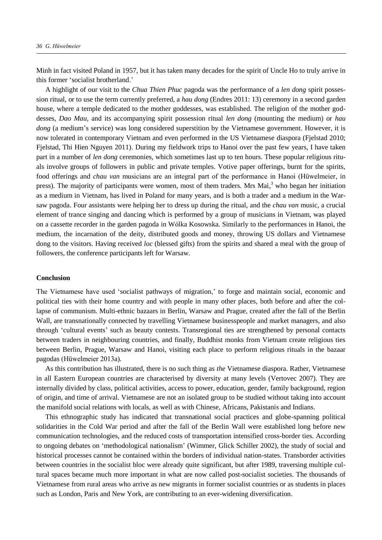Minh in fact visited Poland in 1957, but it has taken many decades for the spirit of Uncle Ho to truly arrive in this former 'socialist brotherland.'

A highlight of our visit to the *Chua Thien Phuc* pagoda was the performance of a *len dong* spirit possession ritual, or to use the term currently preferred, a *hau dong* (Endres 2011: 13) ceremony in a second garden house, where a temple dedicated to the mother goddesses, was established. The religion of the mother goddesses, *Dao Mau*, and its accompanying spirit possession ritual *len dong* (mounting the medium) or *hau dong* (a medium's service) was long considered superstition by the Vietnamese government. However, it is now tolerated in contemporary Vietnam and even performed in the US Vietnamese diaspora (Fjelstad 2010; Fjelstad, Thi Hien Nguyen 2011). During my fieldwork trips to Hanoi over the past few years, I have taken part in a number of *len dong* ceremonies, which sometimes last up to ten hours. These popular religious rituals involve groups of followers in public and private temples. Votive paper offerings, burnt for the spirits, food offerings and *chau van* musicians are an integral part of the performance in Hanoi (Hüwelmeier, in press). The majority of participants were women, most of them traders. Mrs Mai,<sup>3</sup> who began her initiation as a medium in Vietnam, has lived in Poland for many years, and is both a trader and a medium in the Warsaw pagoda. Four assistants were helping her to dress up during the ritual, and the *chau van* music, a crucial element of trance singing and dancing which is performed by a group of musicians in Vietnam, was played on a cassette recorder in the garden pagoda in Wólka Kosowska. Similarly to the performances in Hanoi, the medium, the incarnation of the deity, distributed goods and money, throwing US dollars and Vietnamese dong to the visitors. Having received *loc* (blessed gifts) from the spirits and shared a meal with the group of followers, the conference participants left for Warsaw.

## **Conclusion**

The Vietnamese have used 'socialist pathways of migration,' to forge and maintain social, economic and political ties with their home country and with people in many other places, both before and after the collapse of communism. Multi-ethnic bazaars in Berlin, Warsaw and Prague, created after the fall of the Berlin Wall, are transnationally connected by travelling Vietnamese businesspeople and market managers, and also through 'cultural events' such as beauty contests. Transregional ties are strengthened by personal contacts between traders in neighbouring countries, and finally, Buddhist monks from Vietnam create religious ties between Berlin, Prague, Warsaw and Hanoi, visiting each place to perform religious rituals in the bazaar pagodas (Hüwelmeier 2013a).

As this contribution has illustrated, there is no such thing as *the* Vietnamese diaspora. Rather, Vietnamese in all Eastern European countries are characterised by diversity at many levels (Vertovec 2007). They are internally divided by class, political activities, access to power, education, gender, family background, region of origin, and time of arrival. Vietnamese are not an isolated group to be studied without taking into account the manifold social relations with locals, as well as with Chinese, Africans, Pakistanis and Indians.

This ethnographic study has indicated that transnational social practices and globe-spanning political solidarities in the Cold War period and after the fall of the Berlin Wall were established long before new communication technologies, and the reduced costs of transportation intensified cross-border ties. According to ongoing debates on 'methodological nationalism' (Wimmer, Glick Schiller 2002), the study of social and historical processes cannot be contained within the borders of individual nation-states. Transborder activities between countries in the socialist bloc were already quite significant, but after 1989, traversing multiple cultural spaces became much more important in what are now called post-socialist societies. The thousands of Vietnamese from rural areas who arrive as new migrants in former socialist countries or as students in places such as London, Paris and New York, are contributing to an ever-widening diversification.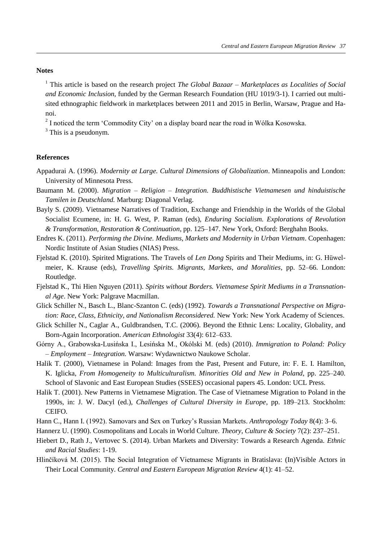## **Notes**

<sup>1</sup> This article is based on the research project *The Global Bazaar – Marketplaces as Localities of Social and Economic Inclusion*, funded by the German Research Foundation (HU 1019/3-1). I carried out multisited ethnographic fieldwork in marketplaces between 2011 and 2015 in Berlin, Warsaw, Prague and Hanoi.

 $2<sup>2</sup>$  I noticed the term 'Commodity City' on a display board near the road in Wólka Kosowska.

<sup>3</sup> This is a pseudonym.

### **References**

- Appadurai A. (1996). *Modernity at Large. Cultural Dimensions of Globalization*. Minneapolis and London: University of Minnesota Press.
- Baumann M. (2000). *Migration – Religion – Integration. Buddhistische Vietnamesen und hinduistische Tamilen in Deutschland.* Marburg: Diagonal Verlag.
- Bayly S. (2009). Vietnamese Narratives of Tradition, Exchange and Friendship in the Worlds of the Global Socialist Ecumene, in: H. G. West, P. Raman (eds), *Enduring Socialism. Explorations of Revolution & Transformation, Restoration & Continuation*, pp. 125–147. New York, Oxford: Berghahn Books.
- Endres K. (2011). *Performing the Divine. Mediums, Markets and Modernity in Urban Vietnam*. Copenhagen: Nordic Institute of Asian Studies (NIAS) Press.
- Fjelstad K. (2010). Spirited Migrations. The Travels of *Len Dong* Spirits and Their Mediums, in: G. Hüwelmeier, K. Krause (eds), *Travelling Spirits. Migrants, Markets, and Moralities*, pp. 52–66. London: Routledge.
- Fjelstad K., Thi Hien Nguyen (2011). *Spirits without Borders. Vietnamese Spirit Mediums in a Transnational Age*. New York: Palgrave Macmillan.
- Glick Schiller N., Basch L., Blanc-Szanton C. (eds) (1992). *Towards a Transnational Perspective on Migration: Race, Class, Ethnicity, and Nationalism Reconsidered.* New York: New York Academy of Sciences.
- Glick Schiller N., Caglar A., Guldbrandsen, T.C. (2006). Beyond the Ethnic Lens: Locality, Globality, and Born-Again Incorporation. *American Ethnologist* 33(4): 612–633.
- Górny A., Grabowska-Lusińska ., Lesińska M., Okólski M. (eds) (2010). *Immigration to Poland: Policy – Employment – Integration.* Warsaw: Wydawnictwo Naukowe Scholar.
- Halik T. (2000), Vietnamese in Poland: Images from the Past, Present and Future, in: F. E. I. Hamilton, K. Iglicka, *From Homogeneity to Multiculturalism. Minorities Old and New in Poland*, pp. 225–240. School of Slavonic and East European Studies (SSEES) occasional papers 45. London: UCL Press.
- Halik T. (2001). New Patterns in Vietnamese Migration. The Case of Vietnamese Migration to Poland in the 1990s, in: J. W. Dacyl (ed.), *Challenges of Cultural Diversity in Europe*, pp. 189–213. Stockholm: CEIFO.
- Hann C., Hann I. (1992). Samovars and Sex on Turkey's Russian Markets. *Anthropology Today* 8(4): 3–6.
- Hannerz U. (1990). Cosmopolitans and Locals in World Culture. *Theory, Culture & Society* 7(2): 237–251.
- Hiebert D., Rath J., Vertovec S. (2014). Urban Markets and Diversity: Towards a Research Agenda. *Ethnic and Racial Studies*: 1-19.
- Hlinčíková M. (2015). The Social Integration of Vietnamese Migrants in Bratislava: (In)Visible Actors in Their Local Community. *Central and Eastern European Migration Review* 4(1): 41–52.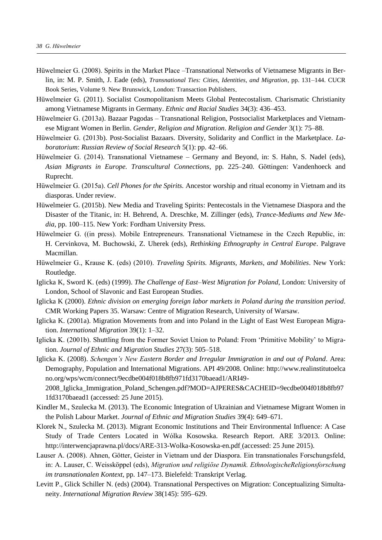- Hüwelmeier G. (2008). Spirits in the Market Place –Transnational Networks of Vietnamese Migrants in Berlin, in: M. P. Smith, J. Eade (eds), *Transnational Ties: Cities, Identities, and Migration*, pp. 131–144. CUCR Book Series, Volume 9. New Brunswick, London: Transaction Publishers.
- Hüwelmeier G. (2011). Socialist Cosmopolitanism Meets Global Pentecostalism. Charismatic Christianity among Vietnamese Migrants in Germany. *Ethnic and Racial Studies* 34(3): 436–453.
- Hüwelmeier G. (2013a). Bazaar Pagodas Transnational Religion, Postsocialist Marketplaces and Vietnamese Migrant Women in Berlin. *Gender, Religion and Migration*. *Religion and Gender* 3(1): 75–88.
- Hüwelmeier G. (2013b). Post-Socialist Bazaars. Diversity, Solidarity and Conflict in the Marketplace. *Laboratorium*: *Russian Review of Social Research* 5(1): pp. 42–66.
- Hüwelmeier G. (2014). Transnational Vietnamese Germany and Beyond, in: S. Hahn, S. Nadel (eds), *Asian Migrants in Europe. Transcultural Connections,* pp*.* 225–240*.* Göttingen: Vandenhoeck and Ruprecht.
- Hüwelmeier G. (2015a). *Cell Phones for the Spirits.* Ancestor worship and ritual economy in Vietnam and its diasporas. Under review.
- Hüwelmeier G. (2015b). New Media and Traveling Spirits: Pentecostals in the Vietnamese Diaspora and the Disaster of the Titanic, in: H. Behrend, A. Dreschke, M. Zillinger (eds), *Trance-Mediums and New Media*, pp. 100–115. New York: Fordham University Press.
- Hüwelmeier G. ((in press). Mobile Entrepreneurs. Transnational Vietnamese in the Czech Republic, in: H. Cervinkova, M. Buchowski, Z. Uherek (eds), *Rethinking Ethnography in Central Europe*. Palgrave Macmillan.
- Hüwelmeier G., Krause K. (eds) (2010). *Traveling Spirits. Migrants, Markets, and Mobilities*. New York: Routledge.
- Iglicka K, Sword K. (eds) (1999). *The Challenge of East–West Migration for Poland*, London: University of London, School of Slavonic and East European Studies.
- Iglicka K (2000). *Ethnic division on emerging foreign labor markets in Poland during the transition period*. CMR Working Papers 35. Warsaw: Centre of Migration Research, University of Warsaw.
- Iglicka K. (2001a). Migration Movements from and into Poland in the Light of East West European Migration. *International Migration* 39(1): 1–32.
- Iglicka K. (2001b). Shuttling from the Former Soviet Union to Poland: From 'Primitive Mobility' to Migration. *Journal of Ethnic and Migration Studies* 27(3): 505–518.
- Iglicka K. (2008). *Schengen's New Eastern Border and Irregular Immigration in and out of Poland*. Area: Demography, Population and International Migrations. API 49/2008. Online: http://www.realinstitutoelca no.org/wps/wcm/connect/9ecdbe004f018b8fb971fd3170baead1/ARI49-
	- 2008\_Iglicka\_Immigration\_Poland\_Schengen.pdf?MOD=AJPERES&CACHEID=9ecdbe004f018b8fb97 1fd3170baead1 (accessed: 25 June 2015).
- Kindler M., Szulecka M. (2013). The Economic Integration of Ukrainian and Vietnamese Migrant Women in the Polish Labour Market. *Journal of Ethnic and Migration Studies* 39(4): 649–671.
- Klorek N., Szulecka M. (2013). Migrant Economic Institutions and Their Environmental Influence: A Case Study of Trade Centers Located in Wólka Kosowska. Research Report. ARE 3/2013. Online: http://interwencjaprawna.pl/docs/ARE-313-Wolka-Kosowska-en.pdf (accessed: 25 June 2015).
- Lauser A. (2008). Ahnen, Götter, Geister in Vietnam und der Diaspora. Ein transnationales Forschungsfeld, in: A. Lauser, C. Weissköppel (eds), *Migration und religiöse Dynamik. EthnologischeReligionsforschung im transnationalen Kontext*, pp. 147–173. Bielefeld: Transkript Verlag.
- Levitt P., Glick Schiller N. (eds) (2004). Transnational Perspectives on Migration: Conceptualizing Simultaneity. *International Migration Review* 38(145): 595–629.